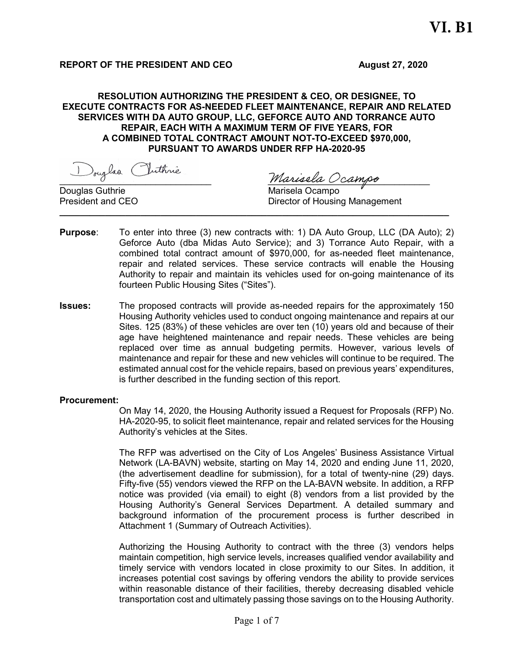#### REPORT OF THE PRESIDENT AND CEO August 27, 2020

#### RESOLUTION AUTHORIZING THE PRESIDENT & CEO, OR DESIGNEE, TO EXECUTE CONTRACTS FOR AS-NEEDED FLEET MAINTENANCE, REPAIR AND RELATED SERVICES WITH DA AUTO GROUP, LLC, GEFORCE AUTO AND TORRANCE AUTO REPAIR, EACH WITH A MAXIMUM TERM OF FIVE YEARS, FOR A COMBINED TOTAL CONTRACT AMOUNT NOT-TO-EXCEED \$970,000, PURSUANT TO AWARDS UNDER RFP HA-2020-95

\_\_\_\_\_\_\_\_\_\_\_\_\_\_\_\_\_\_\_\_\_\_\_\_\_\_\_\_\_\_ \_\_\_\_\_\_\_\_\_\_\_\_\_\_\_\_\_\_\_\_\_\_\_\_\_\_\_\_\_\_\_\_

Douglas Guthrie Marisela Ocampo  $\_$  ,  $\_$  ,  $\_$  ,  $\_$  ,  $\_$  ,  $\_$  ,  $\_$  ,  $\_$  ,  $\_$  ,  $\_$  ,  $\_$  ,  $\_$  ,  $\_$  ,  $\_$  ,  $\_$  ,  $\_$  ,  $\_$  ,  $\_$  ,  $\_$  ,  $\_$  ,  $\_$  ,  $\_$  ,  $\_$  ,  $\_$  ,  $\_$  ,  $\_$  ,  $\_$  ,  $\_$  ,  $\_$  ,  $\_$  ,  $\_$  ,  $\_$  ,  $\_$  ,  $\_$  ,  $\_$  ,  $\_$  ,  $\_$  ,

President and CEO **Director of Housing Management** 

- **Purpose:** To enter into three (3) new contracts with: 1) DA Auto Group, LLC (DA Auto); 2) Geforce Auto (dba Midas Auto Service); and 3) Torrance Auto Repair, with a combined total contract amount of \$970,000, for as-needed fleet maintenance, repair and related services. These service contracts will enable the Housing Authority to repair and maintain its vehicles used for on-going maintenance of its fourteen Public Housing Sites ("Sites").
- **Issues:** The proposed contracts will provide as-needed repairs for the approximately 150 Housing Authority vehicles used to conduct ongoing maintenance and repairs at our Sites. 125 (83%) of these vehicles are over ten (10) years old and because of their age have heightened maintenance and repair needs. These vehicles are being replaced over time as annual budgeting permits. However, various levels of maintenance and repair for these and new vehicles will continue to be required. The estimated annual cost for the vehicle repairs, based on previous years' expenditures, is further described in the funding section of this report.

#### Procurement:

On May 14, 2020, the Housing Authority issued a Request for Proposals (RFP) No. HA-2020-95, to solicit fleet maintenance, repair and related services for the Housing Authority's vehicles at the Sites.

The RFP was advertised on the City of Los Angeles' Business Assistance Virtual Network (LA-BAVN) website, starting on May 14, 2020 and ending June 11, 2020, (the advertisement deadline for submission), for a total of twenty-nine (29) days. Fifty-five (55) vendors viewed the RFP on the LA-BAVN website. In addition, a RFP notice was provided (via email) to eight (8) vendors from a list provided by the Housing Authority's General Services Department. A detailed summary and background information of the procurement process is further described in Attachment 1 (Summary of Outreach Activities).

Authorizing the Housing Authority to contract with the three (3) vendors helps maintain competition, high service levels, increases qualified vendor availability and timely service with vendors located in close proximity to our Sites. In addition, it increases potential cost savings by offering vendors the ability to provide services within reasonable distance of their facilities, thereby decreasing disabled vehicle transportation cost and ultimately passing those savings on to the Housing Authority.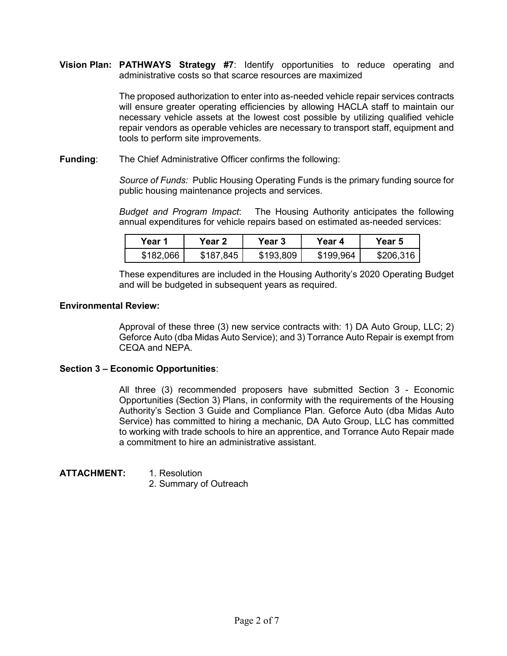Vision Plan: PATHWAYS Strategy #7: Identify opportunities to reduce operating and administrative costs so that scarce resources are maximized

> The proposed authorization to enter into as-needed vehicle repair services contracts will ensure greater operating efficiencies by allowing HACLA staff to maintain our necessary vehicle assets at the lowest cost possible by utilizing qualified vehicle repair vendors as operable vehicles are necessary to transport staff, equipment and tools to perform site improvements.

Funding: The Chief Administrative Officer confirms the following:

Source of Funds: Public Housing Operating Funds is the primary funding source for public housing maintenance projects and services.

Budget and Program Impact: The Housing Authority anticipates the following annual expenditures for vehicle repairs based on estimated as-needed services:

| Year 1    | Year 2    | Year 3    | Year 4    | <b>Year 5</b> |
|-----------|-----------|-----------|-----------|---------------|
| \$182,066 | \$187,845 | \$193,809 | \$199,964 | \$206.316     |

These expenditures are included in the Housing Authority's 2020 Operating Budget and will be budgeted in subsequent years as required.

## Environmental Review:

Approval of these three (3) new service contracts with: 1) DA Auto Group, LLC; 2) Geforce Auto (dba Midas Auto Service); and 3) Torrance Auto Repair is exempt from CEQA and NEPA.

### Section 3 – Economic Opportunities:

All three (3) recommended proposers have submitted Section 3 - Economic Opportunities (Section 3) Plans, in conformity with the requirements of the Housing Authority's Section 3 Guide and Compliance Plan. Geforce Auto (dba Midas Auto Service) has committed to hiring a mechanic, DA Auto Group, LLC has committed to working with trade schools to hire an apprentice, and Torrance Auto Repair made a commitment to hire an administrative assistant.

- ATTACHMENT: 1. Resolution
	- 2. Summary of Outreach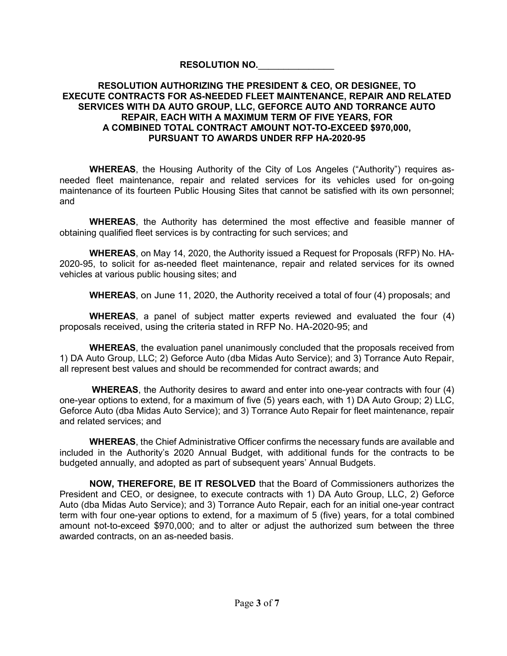### RESOLUTION NO.

### RESOLUTION AUTHORIZING THE PRESIDENT & CEO, OR DESIGNEE, TO EXECUTE CONTRACTS FOR AS-NEEDED FLEET MAINTENANCE, REPAIR AND RELATED SERVICES WITH DA AUTO GROUP, LLC, GEFORCE AUTO AND TORRANCE AUTO REPAIR, EACH WITH A MAXIMUM TERM OF FIVE YEARS, FOR A COMBINED TOTAL CONTRACT AMOUNT NOT-TO-EXCEED \$970,000, PURSUANT TO AWARDS UNDER RFP HA-2020-95

WHEREAS, the Housing Authority of the City of Los Angeles ("Authority") requires asneeded fleet maintenance, repair and related services for its vehicles used for on-going maintenance of its fourteen Public Housing Sites that cannot be satisfied with its own personnel; and

WHEREAS, the Authority has determined the most effective and feasible manner of obtaining qualified fleet services is by contracting for such services; and

WHEREAS, on May 14, 2020, the Authority issued a Request for Proposals (RFP) No. HA-2020-95, to solicit for as-needed fleet maintenance, repair and related services for its owned vehicles at various public housing sites; and

WHEREAS, on June 11, 2020, the Authority received a total of four (4) proposals; and

WHEREAS, a panel of subject matter experts reviewed and evaluated the four (4) proposals received, using the criteria stated in RFP No. HA-2020-95; and

WHEREAS, the evaluation panel unanimously concluded that the proposals received from 1) DA Auto Group, LLC; 2) Geforce Auto (dba Midas Auto Service); and 3) Torrance Auto Repair, all represent best values and should be recommended for contract awards; and

WHEREAS, the Authority desires to award and enter into one-year contracts with four (4) one-year options to extend, for a maximum of five (5) years each, with 1) DA Auto Group; 2) LLC, Geforce Auto (dba Midas Auto Service); and 3) Torrance Auto Repair for fleet maintenance, repair and related services; and

WHEREAS, the Chief Administrative Officer confirms the necessary funds are available and included in the Authority's 2020 Annual Budget, with additional funds for the contracts to be budgeted annually, and adopted as part of subsequent years' Annual Budgets.

NOW, THEREFORE, BE IT RESOLVED that the Board of Commissioners authorizes the President and CEO, or designee, to execute contracts with 1) DA Auto Group, LLC, 2) Geforce Auto (dba Midas Auto Service); and 3) Torrance Auto Repair, each for an initial one-year contract term with four one-year options to extend, for a maximum of 5 (five) years, for a total combined amount not-to-exceed \$970,000; and to alter or adjust the authorized sum between the three awarded contracts, on an as-needed basis.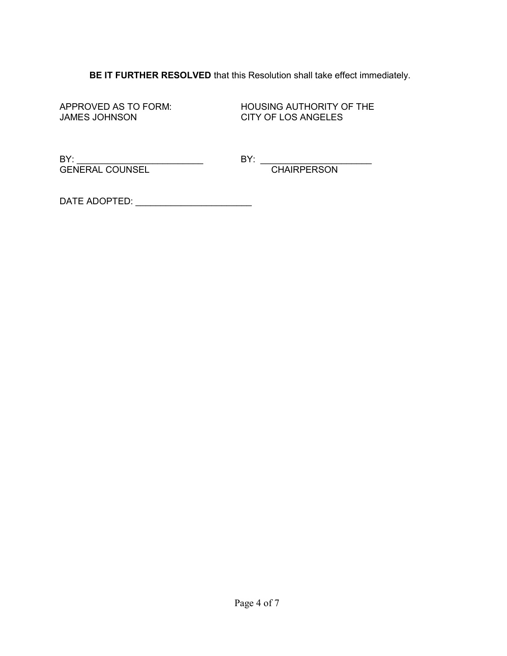BE IT FURTHER RESOLVED that this Resolution shall take effect immediately.

JAMES JOHNSON CITY OF LOS ANGELES

APPROVED AS TO FORM: HOUSING AUTHORITY OF THE

BY: \_\_\_\_\_\_\_\_\_\_\_\_\_\_\_\_\_\_\_\_\_\_\_\_\_ BY: \_\_\_\_\_\_\_\_\_\_\_\_\_\_\_\_\_\_\_\_\_\_ GENERAL COUNSEL CHAIRPERSON

DATE ADOPTED: \_\_\_\_\_\_\_\_\_\_\_\_\_\_\_\_\_\_\_\_\_\_\_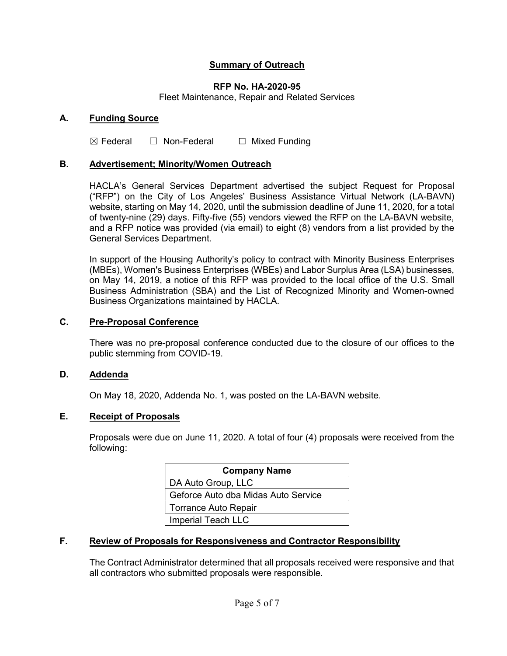## Summary of Outreach

## RFP No. HA-2020-95

Fleet Maintenance, Repair and Related Services

### A. Funding Source

 $\boxtimes$  Federal  $\Box$  Non-Federal  $\Box$  Mixed Funding

### B. Advertisement; Minority/Women Outreach

HACLA's General Services Department advertised the subject Request for Proposal ("RFP") on the City of Los Angeles' Business Assistance Virtual Network (LA-BAVN) website, starting on May 14, 2020, until the submission deadline of June 11, 2020, for a total of twenty-nine (29) days. Fifty-five (55) vendors viewed the RFP on the LA-BAVN website, and a RFP notice was provided (via email) to eight (8) vendors from a list provided by the General Services Department.

In support of the Housing Authority's policy to contract with Minority Business Enterprises (MBEs), Women's Business Enterprises (WBEs) and Labor Surplus Area (LSA) businesses, on May 14, 2019, a notice of this RFP was provided to the local office of the U.S. Small Business Administration (SBA) and the List of Recognized Minority and Women-owned Business Organizations maintained by HACLA.

#### C. Pre-Proposal Conference

There was no pre-proposal conference conducted due to the closure of our offices to the public stemming from COVID-19.

#### D. Addenda

On May 18, 2020, Addenda No. 1, was posted on the LA-BAVN website.

## E. Receipt of Proposals

Proposals were due on June 11, 2020. A total of four (4) proposals were received from the following:

| <b>Company Name</b>                 |
|-------------------------------------|
| DA Auto Group, LLC                  |
| Geforce Auto dba Midas Auto Service |
| Torrance Auto Repair                |
| <b>Imperial Teach LLC</b>           |

#### F. Review of Proposals for Responsiveness and Contractor Responsibility

The Contract Administrator determined that all proposals received were responsive and that all contractors who submitted proposals were responsible.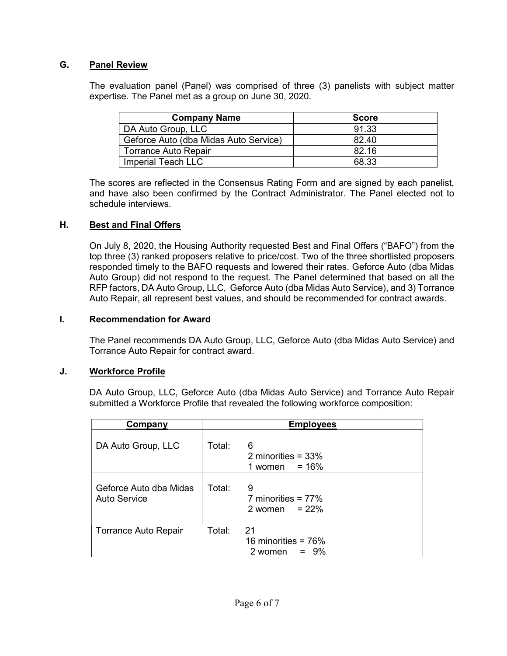## G. Panel Review

The evaluation panel (Panel) was comprised of three (3) panelists with subject matter expertise. The Panel met as a group on June 30, 2020.

| <b>Company Name</b>                   | <b>Score</b> |
|---------------------------------------|--------------|
| DA Auto Group, LLC                    | 91.33        |
| Geforce Auto (dba Midas Auto Service) | 82.40        |
| Torrance Auto Repair                  | 82.16        |
| Imperial Teach LLC                    | 68.33        |

The scores are reflected in the Consensus Rating Form and are signed by each panelist, and have also been confirmed by the Contract Administrator. The Panel elected not to schedule interviews.

## H. Best and Final Offers

On July 8, 2020, the Housing Authority requested Best and Final Offers ("BAFO") from the top three (3) ranked proposers relative to price/cost. Two of the three shortlisted proposers responded timely to the BAFO requests and lowered their rates. Geforce Auto (dba Midas Auto Group) did not respond to the request. The Panel determined that based on all the RFP factors, DA Auto Group, LLC, Geforce Auto (dba Midas Auto Service), and 3) Torrance Auto Repair, all represent best values, and should be recommended for contract awards.

### I. Recommendation for Award

The Panel recommends DA Auto Group, LLC, Geforce Auto (dba Midas Auto Service) and Torrance Auto Repair for contract award.

## J. Workforce Profile

DA Auto Group, LLC, Geforce Auto (dba Midas Auto Service) and Torrance Auto Repair submitted a Workforce Profile that revealed the following workforce composition:

| <b>Company</b>                         | <b>Employees</b> |                                                    |  |
|----------------------------------------|------------------|----------------------------------------------------|--|
| DA Auto Group, LLC                     | Total:           | 6<br>2 minorities = $33\%$<br>$= 16%$<br>1 women   |  |
| Geforce Auto dba Midas<br>Auto Service | Total:           | 9<br>7 minorities = $77\%$<br>2 women = $22%$      |  |
| <b>Torrance Auto Repair</b>            | Total:           | 21<br>16 minorities = $76\%$<br>$= 9\%$<br>2 women |  |